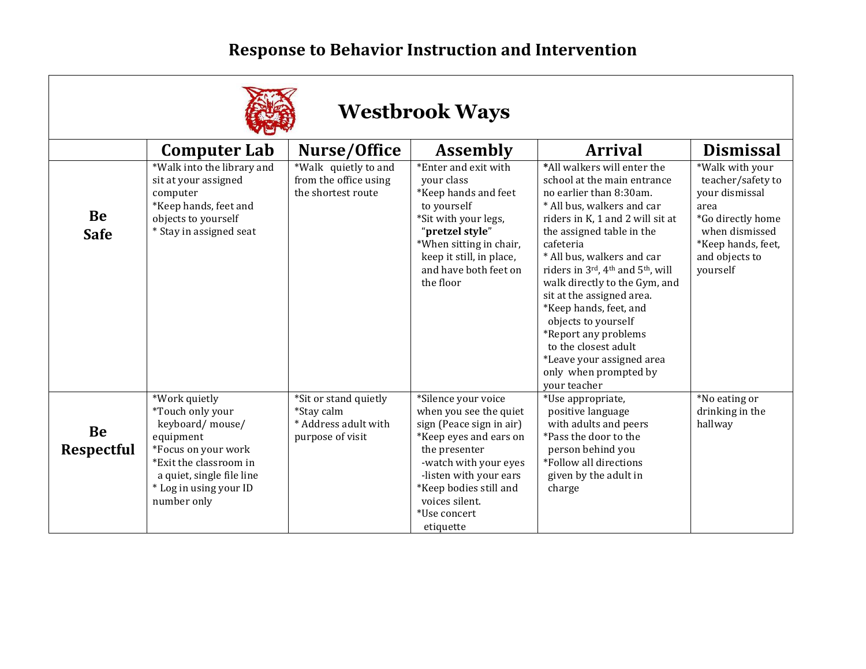## **Response to Behavior Instruction and Intervention**



## **Westbrook Ways**

|                         | <b>Computer Lab</b>                                                                                                                                                                      | Nurse/Office                                                                    | <b>Assembly</b>                                                                                                                                                                                                                                  | <b>Arrival</b>                                                                                                                                                                                                                                                                                                                                                                                                                                                                                           | <b>Dismissal</b>                                                                                                                                          |
|-------------------------|------------------------------------------------------------------------------------------------------------------------------------------------------------------------------------------|---------------------------------------------------------------------------------|--------------------------------------------------------------------------------------------------------------------------------------------------------------------------------------------------------------------------------------------------|----------------------------------------------------------------------------------------------------------------------------------------------------------------------------------------------------------------------------------------------------------------------------------------------------------------------------------------------------------------------------------------------------------------------------------------------------------------------------------------------------------|-----------------------------------------------------------------------------------------------------------------------------------------------------------|
| Be<br><b>Safe</b>       | *Walk into the library and<br>sit at your assigned<br>computer<br>*Keep hands, feet and<br>objects to yourself<br>* Stay in assigned seat                                                | *Walk quietly to and<br>from the office using<br>the shortest route             | *Enter and exit with<br>your class<br>*Keep hands and feet<br>to yourself<br>*Sit with your legs,<br>"pretzel style"<br>*When sitting in chair,<br>keep it still, in place,<br>and have both feet on<br>the floor                                | *All walkers will enter the<br>school at the main entrance<br>no earlier than 8:30am.<br>* All bus, walkers and car<br>riders in K, 1 and 2 will sit at<br>the assigned table in the<br>cafeteria<br>* All bus, walkers and car<br>riders in 3rd, 4th and 5th, will<br>walk directly to the Gym, and<br>sit at the assigned area.<br>*Keep hands, feet, and<br>objects to yourself<br>*Report any problems<br>to the closest adult<br>*Leave your assigned area<br>only when prompted by<br>vour teacher | *Walk with your<br>teacher/safety to<br>your dismissal<br>area<br>*Go directly home<br>when dismissed<br>*Keep hands, feet,<br>and objects to<br>yourself |
| Be<br><b>Respectful</b> | *Work quietly<br>*Touch only your<br>keyboard/mouse/<br>equipment<br>*Focus on your work<br>*Exit the classroom in<br>a quiet, single file line<br>* Log in using your ID<br>number only | *Sit or stand quietly<br>*Stay calm<br>* Address adult with<br>purpose of visit | *Silence your voice<br>when you see the quiet<br>sign (Peace sign in air)<br>*Keep eyes and ears on<br>the presenter<br>-watch with your eyes<br>-listen with your ears<br>*Keep bodies still and<br>voices silent.<br>*Use concert<br>etiquette | *Use appropriate,<br>positive language<br>with adults and peers<br>*Pass the door to the<br>person behind you<br>*Follow all directions<br>given by the adult in<br>charge                                                                                                                                                                                                                                                                                                                               | *No eating or<br>drinking in the<br>hallway                                                                                                               |